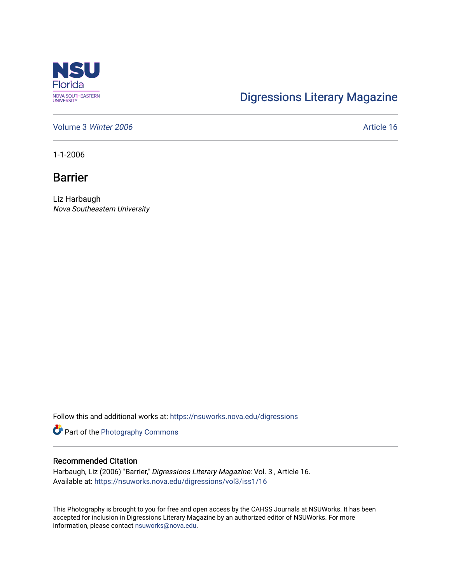

## [Digressions Literary Magazine](https://nsuworks.nova.edu/digressions)

[Volume 3](https://nsuworks.nova.edu/digressions/vol3) Winter 2006 **Article 16** Article 16

1-1-2006

Barrier

Liz Harbaugh Nova Southeastern University

Follow this and additional works at: [https://nsuworks.nova.edu/digressions](https://nsuworks.nova.edu/digressions?utm_source=nsuworks.nova.edu%2Fdigressions%2Fvol3%2Fiss1%2F16&utm_medium=PDF&utm_campaign=PDFCoverPages) 

Part of the [Photography Commons](http://network.bepress.com/hgg/discipline/1142?utm_source=nsuworks.nova.edu%2Fdigressions%2Fvol3%2Fiss1%2F16&utm_medium=PDF&utm_campaign=PDFCoverPages)

## Recommended Citation

Harbaugh, Liz (2006) "Barrier," Digressions Literary Magazine: Vol. 3 , Article 16. Available at: [https://nsuworks.nova.edu/digressions/vol3/iss1/16](https://nsuworks.nova.edu/digressions/vol3/iss1/16?utm_source=nsuworks.nova.edu%2Fdigressions%2Fvol3%2Fiss1%2F16&utm_medium=PDF&utm_campaign=PDFCoverPages) 

This Photography is brought to you for free and open access by the CAHSS Journals at NSUWorks. It has been accepted for inclusion in Digressions Literary Magazine by an authorized editor of NSUWorks. For more information, please contact [nsuworks@nova.edu.](mailto:nsuworks@nova.edu)